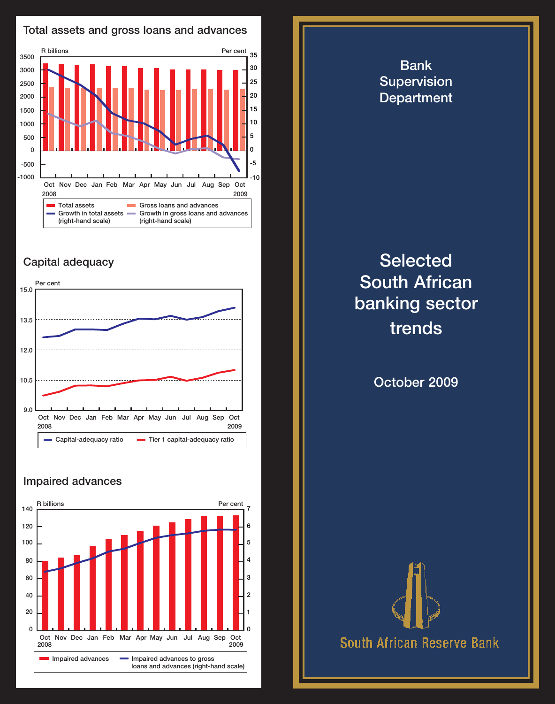

## Capital adequacy



## Impaired advances



**Selected** South African banking sector trends October 2009



Bank **Supervision** Department